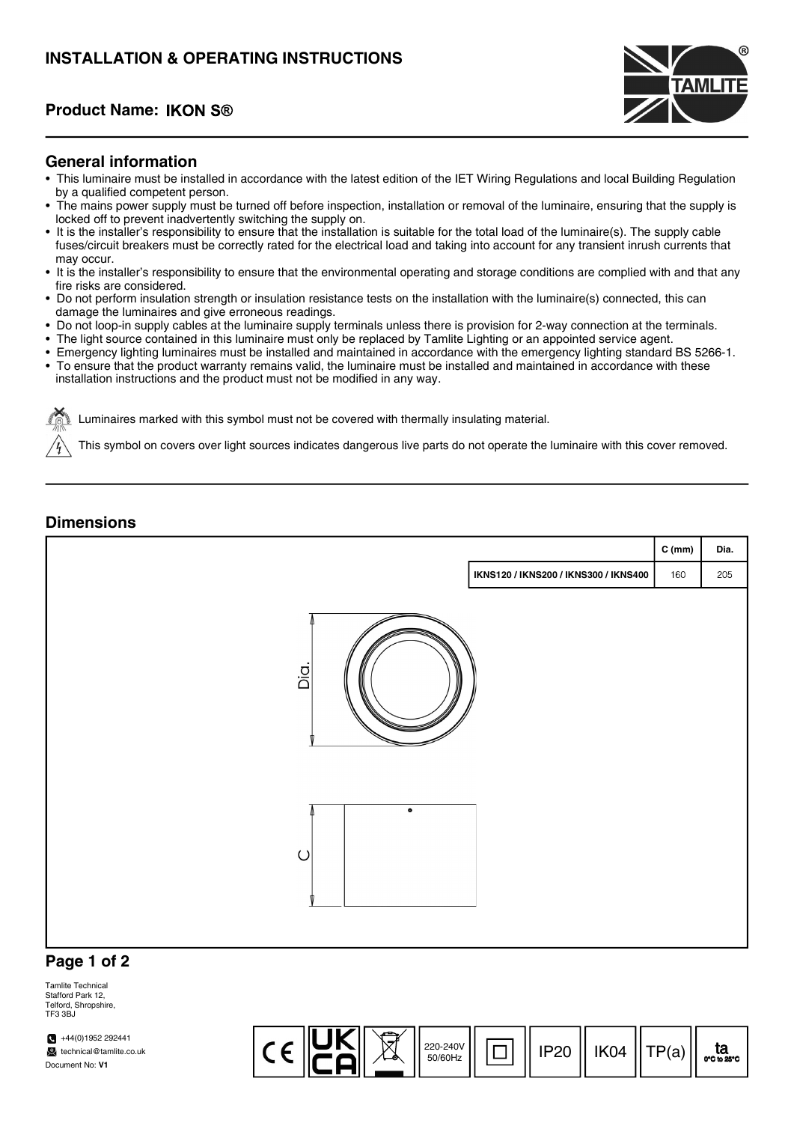# INSTALLATION & OPERATING INSTRUCTIONS

## Product Name:



#### General information

- This luminaire must be installed in accordance with the latest edition of the IET Wiring Regulations and local Building Regulation by a qualified competent person.
- The mains power supply must be turned off before inspection, installation or removal of the luminaire, ensuring that the supply is locked off to prevent inadvertently switching the supply on.
- It is the installer's responsibility to ensure that the installation is suitable for the total load of the luminaire(s). The supply cable fuses/circuit breakers must be correctly rated for the electrical load and taking into account for any transient inrush currents that may occur.
- It is the installer's responsibility to ensure that the environmental operating and storage conditions are complied with and that any fire risks are considered.
- Do not perform insulation strength or insulation resistance tests on the installation with the luminaire(s) connected, this can damage the luminaires and give erroneous readings.
- Do not loop-in supply cables at the luminaire supply terminals unless there is provision for 2-way connection at the terminals.
- The light source contained in this luminaire must only be replaced by Tamlite Lighting or an appointed service agent.
- Emergency lighting luminaires must be installed and maintained in accordance with the emergency lighting standard BS 5266-1.
- To ensure that the product warranty remains valid, the luminaire must be installed and maintained in accordance with these installation instructions and the product must not be modified in any way.

Luminaires marked with this symbol must not be covered with thermally insulating material.

This symbol on covers over light sources indicates dangerous live parts do not operate the luminaire with this cover removed.

#### **Dimensions**



#### Page 1 of 2

Tamlite Technical Stafford Park 12, Telford, Shropshire, TE3 3BJ

 $+44(0)1952292441$ technical@tamlite.co.uk Document No: V1